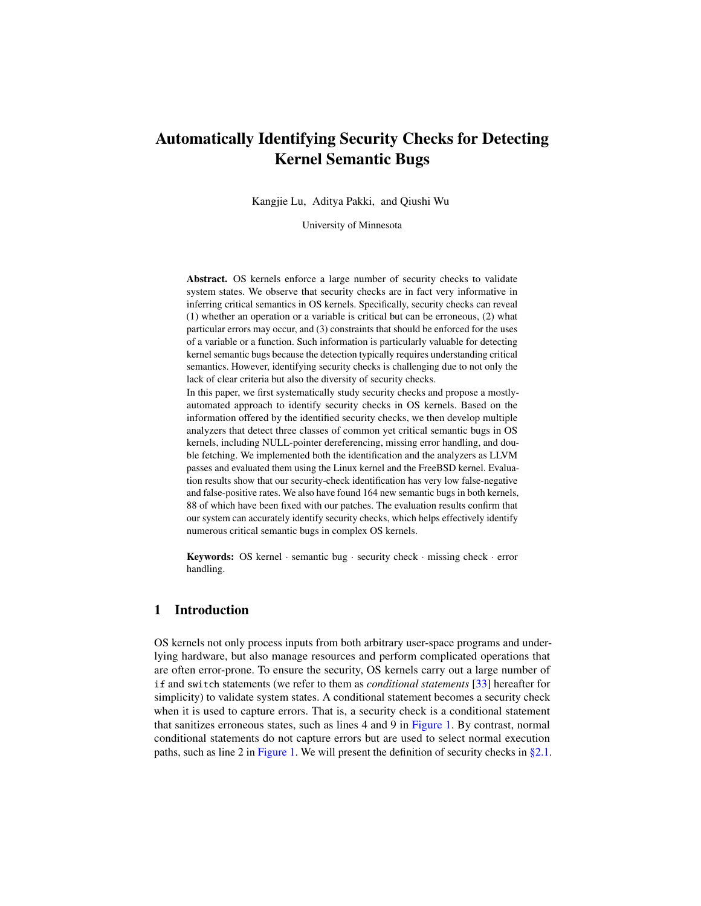# Automatically Identifying Security Checks for Detecting Kernel Semantic Bugs

Kangjie Lu, Aditya Pakki, and Qiushi Wu

University of Minnesota

Abstract. OS kernels enforce a large number of security checks to validate system states. We observe that security checks are in fact very informative in inferring critical semantics in OS kernels. Specifically, security checks can reveal (1) whether an operation or a variable is critical but can be erroneous, (2) what particular errors may occur, and (3) constraints that should be enforced for the uses of a variable or a function. Such information is particularly valuable for detecting kernel semantic bugs because the detection typically requires understanding critical semantics. However, identifying security checks is challenging due to not only the lack of clear criteria but also the diversity of security checks.

In this paper, we first systematically study security checks and propose a mostlyautomated approach to identify security checks in OS kernels. Based on the information offered by the identified security checks, we then develop multiple analyzers that detect three classes of common yet critical semantic bugs in OS kernels, including NULL-pointer dereferencing, missing error handling, and double fetching. We implemented both the identification and the analyzers as LLVM passes and evaluated them using the Linux kernel and the FreeBSD kernel. Evaluation results show that our security-check identification has very low false-negative and false-positive rates. We also have found 164 new semantic bugs in both kernels, 88 of which have been fixed with our patches. The evaluation results confirm that our system can accurately identify security checks, which helps effectively identify numerous critical semantic bugs in complex OS kernels.

Keywords: OS kernel · semantic bug · security check · missing check · error handling.

# 1 Introduction

OS kernels not only process inputs from both arbitrary user-space programs and underlying hardware, but also manage resources and perform complicated operations that are often error-prone. To ensure the security, OS kernels carry out a large number of if and switch statements (we refer to them as *conditional statements* [\[33\]](#page-18-0) hereafter for simplicity) to validate system states. A conditional statement becomes a security check when it is used to capture errors. That is, a security check is a conditional statement that sanitizes erroneous states, such as lines 4 and 9 in [Figure 1.](#page-1-0) By contrast, normal conditional statements do not capture errors but are used to select normal execution paths, such as line 2 in [Figure 1.](#page-1-0) We will present the definition of security checks in  $\S2.1$ .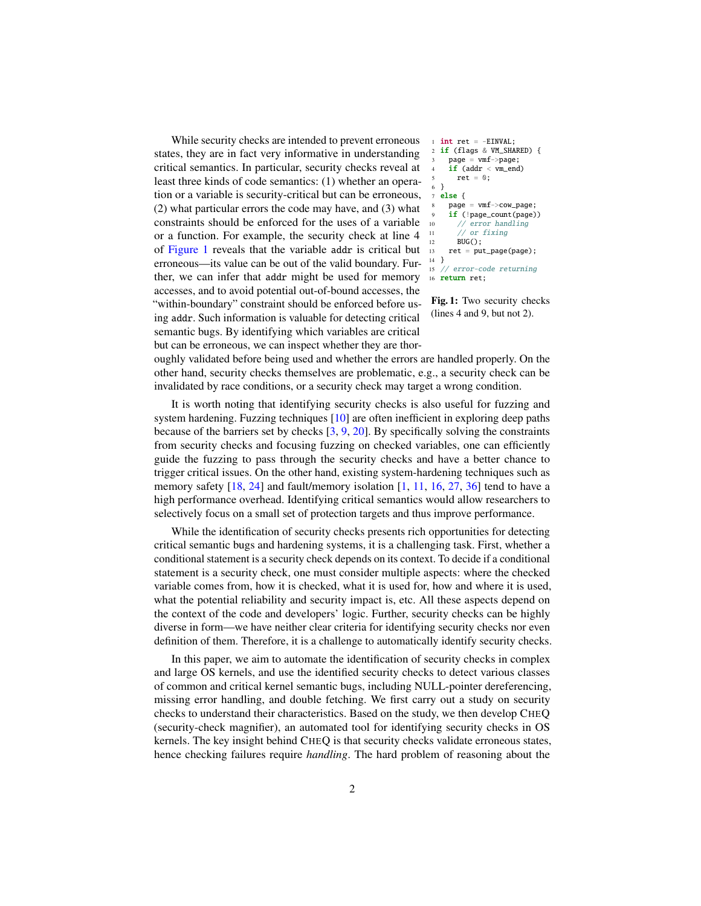While security checks are intended to prevent erroneous states, they are in fact very informative in understanding critical semantics. In particular, security checks reveal at least three kinds of code semantics: (1) whether an operation or a variable is security-critical but can be erroneous, (2) what particular errors the code may have, and (3) what constraints should be enforced for the uses of a variable or a function. For example, the security check at line 4 of [Figure 1](#page-1-0) reveals that the variable addr is critical but erroneous—its value can be out of the valid boundary. Further, we can infer that addr might be used for memory accesses, and to avoid potential out-of-bound accesses, the "within-boundary" constraint should be enforced before using addr. Such information is valuable for detecting critical semantic bugs. By identifying which variables are critical but can be erroneous, we can inspect whether they are thor-

<span id="page-1-0"></span>

Fig. 1: Two security checks (lines 4 and 9, but not 2).

oughly validated before being used and whether the errors are handled properly. On the other hand, security checks themselves are problematic, e.g., a security check can be invalidated by race conditions, or a security check may target a wrong condition.

It is worth noting that identifying security checks is also useful for fuzzing and system hardening. Fuzzing techniques [\[10\]](#page-16-0) are often inefficient in exploring deep paths because of the barriers set by checks [\[3,](#page-16-1) [9,](#page-16-2) [20\]](#page-17-0). By specifically solving the constraints from security checks and focusing fuzzing on checked variables, one can efficiently guide the fuzzing to pass through the security checks and have a better chance to trigger critical issues. On the other hand, existing system-hardening techniques such as memory safety  $[18, 24]$  $[18, 24]$  $[18, 24]$  and fault/memory isolation  $[1, 11, 16, 27, 36]$  $[1, 11, 16, 27, 36]$  $[1, 11, 16, 27, 36]$  $[1, 11, 16, 27, 36]$  $[1, 11, 16, 27, 36]$  $[1, 11, 16, 27, 36]$  $[1, 11, 16, 27, 36]$  $[1, 11, 16, 27, 36]$  $[1, 11, 16, 27, 36]$  tend to have a high performance overhead. Identifying critical semantics would allow researchers to selectively focus on a small set of protection targets and thus improve performance.

While the identification of security checks presents rich opportunities for detecting critical semantic bugs and hardening systems, it is a challenging task. First, whether a conditional statement is a security check depends on its context. To decide if a conditional statement is a security check, one must consider multiple aspects: where the checked variable comes from, how it is checked, what it is used for, how and where it is used, what the potential reliability and security impact is, etc. All these aspects depend on the context of the code and developers' logic. Further, security checks can be highly diverse in form—we have neither clear criteria for identifying security checks nor even definition of them. Therefore, it is a challenge to automatically identify security checks.

In this paper, we aim to automate the identification of security checks in complex and large OS kernels, and use the identified security checks to detect various classes of common and critical kernel semantic bugs, including NULL-pointer dereferencing, missing error handling, and double fetching. We first carry out a study on security checks to understand their characteristics. Based on the study, we then develop CHEQ (security-check magnifier), an automated tool for identifying security checks in OS kernels. The key insight behind CHEQ is that security checks validate erroneous states, hence checking failures require *handling*. The hard problem of reasoning about the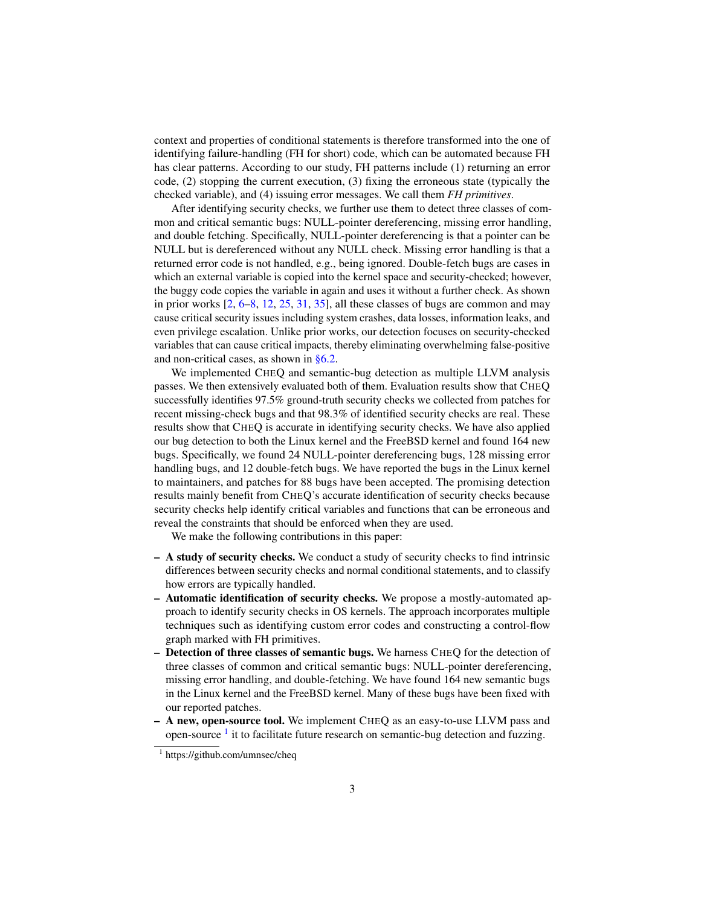context and properties of conditional statements is therefore transformed into the one of identifying failure-handling (FH for short) code, which can be automated because FH has clear patterns. According to our study, FH patterns include (1) returning an error code, (2) stopping the current execution, (3) fixing the erroneous state (typically the checked variable), and (4) issuing error messages. We call them *FH primitives*.

After identifying security checks, we further use them to detect three classes of common and critical semantic bugs: NULL-pointer dereferencing, missing error handling, and double fetching. Specifically, NULL-pointer dereferencing is that a pointer can be NULL but is dereferenced without any NULL check. Missing error handling is that a returned error code is not handled, e.g., being ignored. Double-fetch bugs are cases in which an external variable is copied into the kernel space and security-checked; however, the buggy code copies the variable in again and uses it without a further check. As shown in prior works  $[2, 6-8, 12, 25, 31, 35]$  $[2, 6-8, 12, 25, 31, 35]$  $[2, 6-8, 12, 25, 31, 35]$  $[2, 6-8, 12, 25, 31, 35]$  $[2, 6-8, 12, 25, 31, 35]$  $[2, 6-8, 12, 25, 31, 35]$  $[2, 6-8, 12, 25, 31, 35]$  $[2, 6-8, 12, 25, 31, 35]$  $[2, 6-8, 12, 25, 31, 35]$  $[2, 6-8, 12, 25, 31, 35]$  $[2, 6-8, 12, 25, 31, 35]$ , all these classes of bugs are common and may cause critical security issues including system crashes, data losses, information leaks, and even privilege escalation. Unlike prior works, our detection focuses on security-checked variables that can cause critical impacts, thereby eliminating overwhelming false-positive and non-critical cases, as shown in [§6.2.](#page-13-0)

We implemented CHEQ and semantic-bug detection as multiple LLVM analysis passes. We then extensively evaluated both of them. Evaluation results show that CHEQ successfully identifies 97.5% ground-truth security checks we collected from patches for recent missing-check bugs and that 98.3% of identified security checks are real. These results show that CHEQ is accurate in identifying security checks. We have also applied our bug detection to both the Linux kernel and the FreeBSD kernel and found 164 new bugs. Specifically, we found 24 NULL-pointer dereferencing bugs, 128 missing error handling bugs, and 12 double-fetch bugs. We have reported the bugs in the Linux kernel to maintainers, and patches for 88 bugs have been accepted. The promising detection results mainly benefit from CHEQ's accurate identification of security checks because security checks help identify critical variables and functions that can be erroneous and reveal the constraints that should be enforced when they are used.

We make the following contributions in this paper:

- A study of security checks. We conduct a study of security checks to find intrinsic differences between security checks and normal conditional statements, and to classify how errors are typically handled.
- Automatic identification of security checks. We propose a mostly-automated approach to identify security checks in OS kernels. The approach incorporates multiple techniques such as identifying custom error codes and constructing a control-flow graph marked with FH primitives.
- Detection of three classes of semantic bugs. We harness CHEQ for the detection of three classes of common and critical semantic bugs: NULL-pointer dereferencing, missing error handling, and double-fetching. We have found 164 new semantic bugs in the Linux kernel and the FreeBSD kernel. Many of these bugs have been fixed with our reported patches.
- A new, open-source tool. We implement CHEQ as an easy-to-use LLVM pass and open-source<sup>[1](#page-2-0)</sup> it to facilitate future research on semantic-bug detection and fuzzing.

<span id="page-2-0"></span><sup>1</sup> https://github.com/umnsec/cheq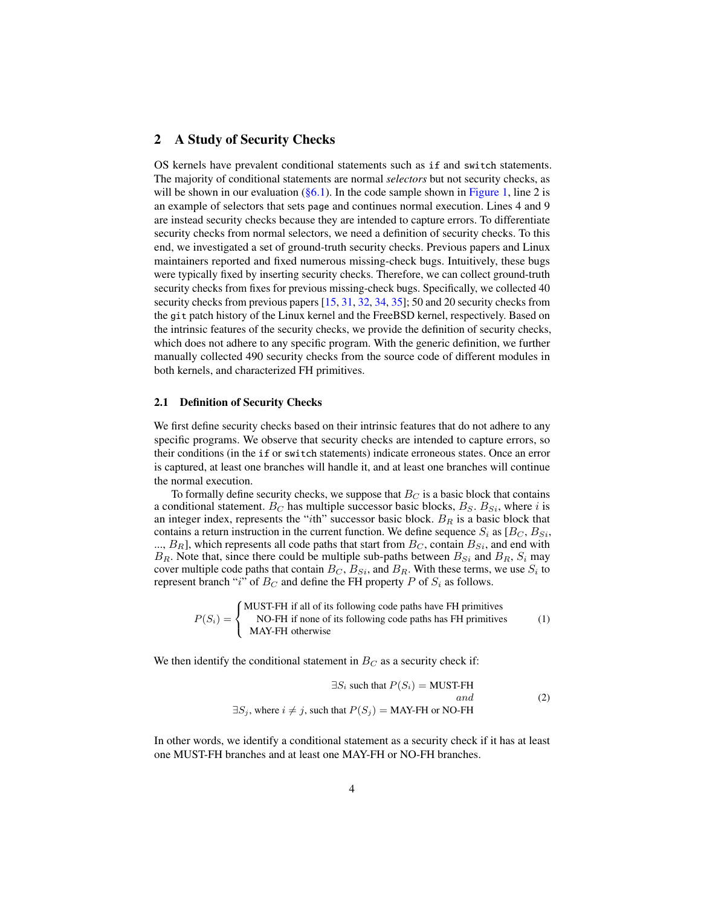### <span id="page-3-1"></span>2 A Study of Security Checks

OS kernels have prevalent conditional statements such as if and switch statements. The majority of conditional statements are normal *selectors* but not security checks, as will be shown in our evaluation ( $\S 6.1$ ). In the code sample shown in [Figure 1,](#page-1-0) line 2 is an example of selectors that sets page and continues normal execution. Lines 4 and 9 are instead security checks because they are intended to capture errors. To differentiate security checks from normal selectors, we need a definition of security checks. To this end, we investigated a set of ground-truth security checks. Previous papers and Linux maintainers reported and fixed numerous missing-check bugs. Intuitively, these bugs were typically fixed by inserting security checks. Therefore, we can collect ground-truth security checks from fixes for previous missing-check bugs. Specifically, we collected 40 security checks from previous papers [\[15,](#page-16-9) [31,](#page-17-6) [32,](#page-18-3) [34,](#page-18-4) [35\]](#page-18-2); 50 and 20 security checks from the git patch history of the Linux kernel and the FreeBSD kernel, respectively. Based on the intrinsic features of the security checks, we provide the definition of security checks, which does not adhere to any specific program. With the generic definition, we further manually collected 490 security checks from the source code of different modules in both kernels, and characterized FH primitives.

#### <span id="page-3-0"></span>2.1 Definition of Security Checks

We first define security checks based on their intrinsic features that do not adhere to any specific programs. We observe that security checks are intended to capture errors, so their conditions (in the if or switch statements) indicate erroneous states. Once an error is captured, at least one branches will handle it, and at least one branches will continue the normal execution.

To formally define security checks, we suppose that  $B_C$  is a basic block that contains a conditional statement.  $B_C$  has multiple successor basic blocks,  $B_S$ .  $B_{Si}$ , where i is an integer index, represents the "ith" successor basic block.  $B_R$  is a basic block that contains a return instruction in the current function. We define sequence  $S_i$  as  $[B_C, B_{Si},]$ ...,  $B_R$ ], which represents all code paths that start from  $B_C$ , contain  $B_{S_i}$ , and end with  $B_R$ . Note that, since there could be multiple sub-paths between  $B_{Si}$  and  $B_R$ ,  $S_i$  may cover multiple code paths that contain  $B_C$ ,  $B_{Si}$ , and  $B_R$ . With these terms, we use  $S_i$  to represent branch "i" of  $B_C$  and define the FH property P of  $S_i$  as follows.

$$
P(S_i) = \begin{cases} \text{MUST-FH if all of its following code paths have FH primitives} \\ \text{NO-FH if none of its following code paths has FH primitives} \\ \text{MAY-FH otherwise} \end{cases}
$$
 (1)

We then identify the conditional statement in  $B_C$  as a security check if:

<span id="page-3-2"></span>
$$
\exists S_i \text{ such that } P(S_i) = \text{MUST-FH} \quad \text{and} \quad (2)
$$
  

$$
\exists S_j \text{, where } i \neq j \text{, such that } P(S_j) = \text{MAY-FH or NO-FH}
$$

In other words, we identify a conditional statement as a security check if it has at least one MUST-FH branches and at least one MAY-FH or NO-FH branches.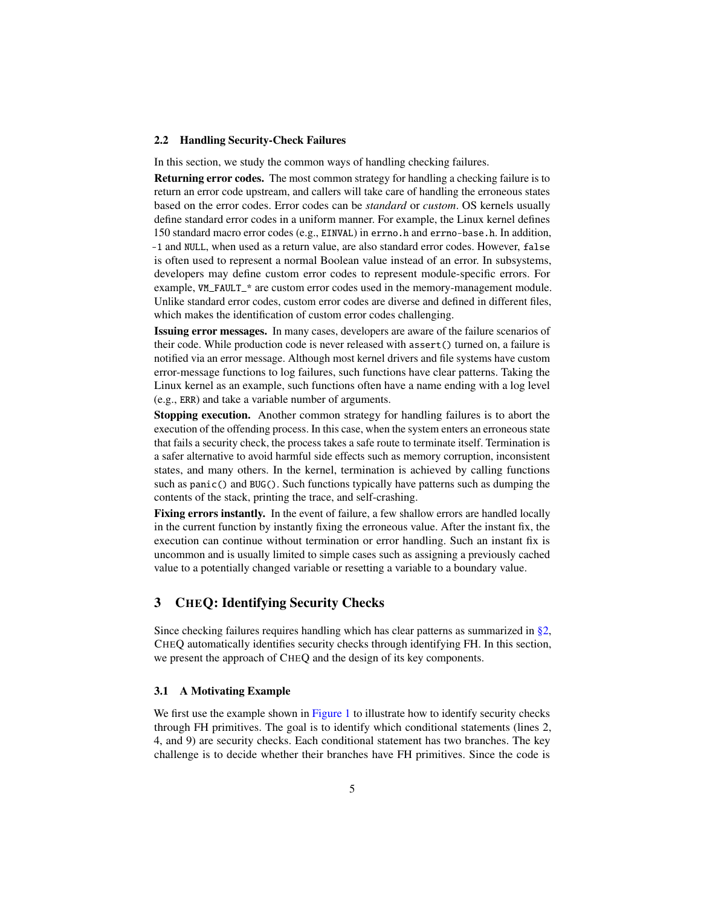#### <span id="page-4-0"></span>2.2 Handling Security-Check Failures

In this section, we study the common ways of handling checking failures.

Returning error codes. The most common strategy for handling a checking failure is to return an error code upstream, and callers will take care of handling the erroneous states based on the error codes. Error codes can be *standard* or *custom*. OS kernels usually define standard error codes in a uniform manner. For example, the Linux kernel defines 150 standard macro error codes (e.g., EINVAL) in errno.h and errno-base.h. In addition, -1 and NULL, when used as a return value, are also standard error codes. However, false is often used to represent a normal Boolean value instead of an error. In subsystems, developers may define custom error codes to represent module-specific errors. For example, VM\_FAULT\_\* are custom error codes used in the memory-management module. Unlike standard error codes, custom error codes are diverse and defined in different files, which makes the identification of custom error codes challenging.

Issuing error messages. In many cases, developers are aware of the failure scenarios of their code. While production code is never released with assert() turned on, a failure is notified via an error message. Although most kernel drivers and file systems have custom error-message functions to log failures, such functions have clear patterns. Taking the Linux kernel as an example, such functions often have a name ending with a log level (e.g., ERR) and take a variable number of arguments.

Stopping execution. Another common strategy for handling failures is to abort the execution of the offending process. In this case, when the system enters an erroneous state that fails a security check, the process takes a safe route to terminate itself. Termination is a safer alternative to avoid harmful side effects such as memory corruption, inconsistent states, and many others. In the kernel, termination is achieved by calling functions such as panic() and BUG(). Such functions typically have patterns such as dumping the contents of the stack, printing the trace, and self-crashing.

Fixing errors instantly. In the event of failure, a few shallow errors are handled locally in the current function by instantly fixing the erroneous value. After the instant fix, the execution can continue without termination or error handling. Such an instant fix is uncommon and is usually limited to simple cases such as assigning a previously cached value to a potentially changed variable or resetting a variable to a boundary value.

# 3 CHEQ: Identifying Security Checks

Since checking failures requires handling which has clear patterns as summarized in  $\S2$ , CHEQ automatically identifies security checks through identifying FH. In this section, we present the approach of CHEQ and the design of its key components.

#### 3.1 A Motivating Example

We first use the example shown in [Figure 1](#page-1-0) to illustrate how to identify security checks through FH primitives. The goal is to identify which conditional statements (lines 2, 4, and 9) are security checks. Each conditional statement has two branches. The key challenge is to decide whether their branches have FH primitives. Since the code is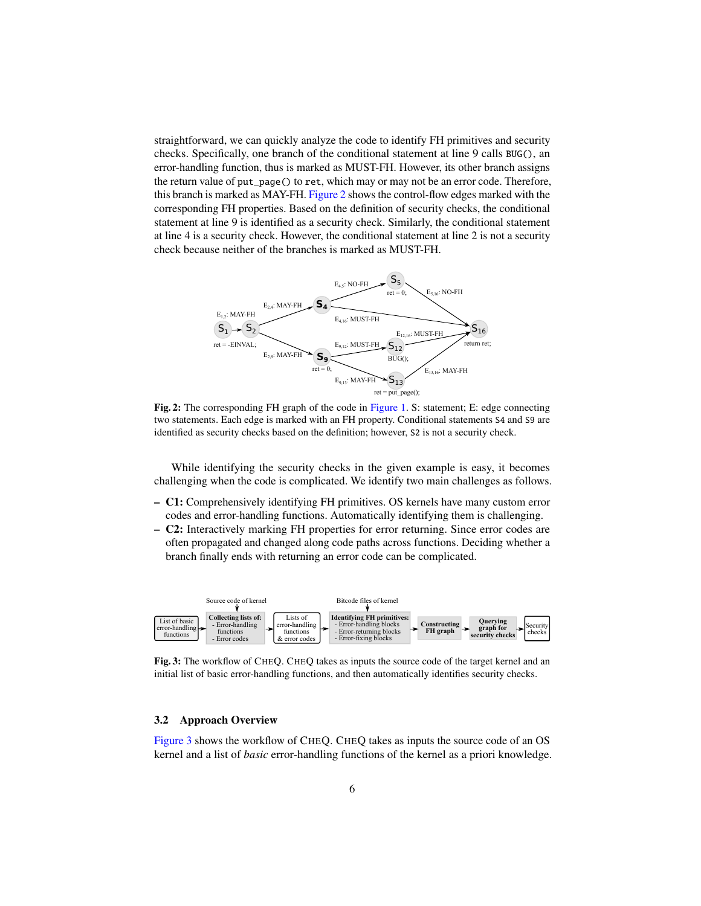straightforward, we can quickly analyze the code to identify FH primitives and security checks. Specifically, one branch of the conditional statement at line 9 calls BUG(), an error-handling function, thus is marked as MUST-FH. However, its other branch assigns the return value of put\_page() to ret, which may or may not be an error code. Therefore, this branch is marked as MAY-FH. [Figure 2](#page-5-0) shows the control-flow edges marked with the corresponding FH properties. Based on the definition of security checks, the conditional statement at line 9 is identified as a security check. Similarly, the conditional statement at line 4 is a security check. However, the conditional statement at line 2 is not a security check because neither of the branches is marked as MUST-FH.

<span id="page-5-0"></span>

Fig. 2: The corresponding FH graph of the code in [Figure 1.](#page-1-0) S: statement; E: edge connecting two statements. Each edge is marked with an FH property. Conditional statements S4 and S9 are identified as security checks based on the definition; however, S2 is not a security check.

While identifying the security checks in the given example is easy, it becomes challenging when the code is complicated. We identify two main challenges as follows.

- C1: Comprehensively identifying FH primitives. OS kernels have many custom error codes and error-handling functions. Automatically identifying them is challenging.
- C2: Interactively marking FH properties for error returning. Since error codes are often propagated and changed along code paths across functions. Deciding whether a branch finally ends with returning an error code can be complicated.

<span id="page-5-1"></span>

Fig. 3: The workflow of CHEQ. CHEQ takes as inputs the source code of the target kernel and an initial list of basic error-handling functions, and then automatically identifies security checks.

#### 3.2 Approach Overview

[Figure 3](#page-5-1) shows the workflow of CHEQ. CHEQ takes as inputs the source code of an OS kernel and a list of *basic* error-handling functions of the kernel as a priori knowledge.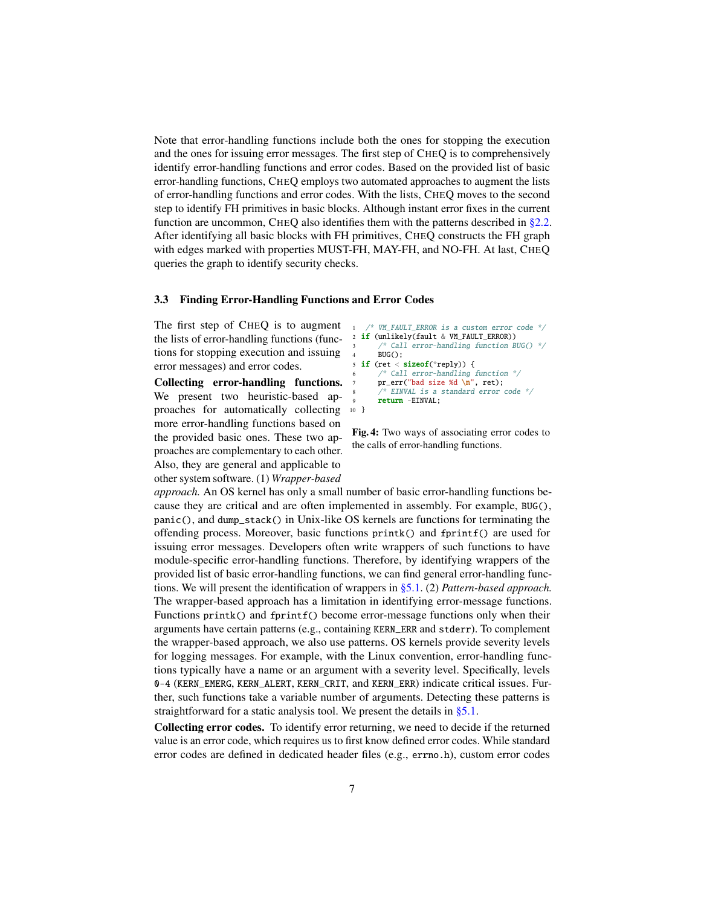Note that error-handling functions include both the ones for stopping the execution and the ones for issuing error messages. The first step of CHEQ is to comprehensively identify error-handling functions and error codes. Based on the provided list of basic error-handling functions, CHEQ employs two automated approaches to augment the lists of error-handling functions and error codes. With the lists, CHEQ moves to the second step to identify FH primitives in basic blocks. Although instant error fixes in the current function are uncommon, CHEQ also identifies them with the patterns described in [§2.2.](#page-4-0) After identifying all basic blocks with FH primitives, CHEQ constructs the FH graph with edges marked with properties MUST-FH, MAY-FH, and NO-FH. At last, CHEQ queries the graph to identify security checks.

#### <span id="page-6-1"></span>3.3 Finding Error-Handling Functions and Error Codes

The first step of CHEQ is to augment the lists of error-handling functions (functions for stopping execution and issuing error messages) and error codes.

Collecting error-handling functions. We present two heuristic-based approaches for automatically collecting more error-handling functions based on the provided basic ones. These two approaches are complementary to each other. Also, they are general and applicable to other system software. (1) *Wrapper-based*

```
/* VM_FAULT_ERROR is a custom error code */2 if (unlikely(fault & VM_FAULT_ERROR))
        4 * Call error-handling function BUG() */\mathtt{BUG}() ;
  if (ret < sizeof(*reply)) {
         6 /* Call error-handling function */
       pr_err("bad size %d \n", ret);
         8 /* EINVAL is a standard error code */
       return -EINVAL:
10 \, \, }
```
Fig. 4: Two ways of associating error codes to the calls of error-handling functions.

*approach.* An OS kernel has only a small number of basic error-handling functions because they are critical and are often implemented in assembly. For example, BUG(), panic(), and dump\_stack() in Unix-like OS kernels are functions for terminating the offending process. Moreover, basic functions printk() and fprintf() are used for issuing error messages. Developers often write wrappers of such functions to have module-specific error-handling functions. Therefore, by identifying wrappers of the provided list of basic error-handling functions, we can find general error-handling functions. We will present the identification of wrappers in [§5.1.](#page-11-1) (2) *Pattern-based approach.* The wrapper-based approach has a limitation in identifying error-message functions. Functions printk() and fprintf() become error-message functions only when their arguments have certain patterns (e.g., containing KERN\_ERR and stderr). To complement the wrapper-based approach, we also use patterns. OS kernels provide severity levels for logging messages. For example, with the Linux convention, error-handling functions typically have a name or an argument with a severity level. Specifically, levels 0-4 (KERN\_EMERG, KERN\_ALERT, KERN\_CRIT, and KERN\_ERR) indicate critical issues. Further, such functions take a variable number of arguments. Detecting these patterns is straightforward for a static analysis tool. We present the details in  $\S 5.1$ .

Collecting error codes. To identify error returning, we need to decide if the returned value is an error code, which requires us to first know defined error codes. While standard error codes are defined in dedicated header files (e.g., errno.h), custom error codes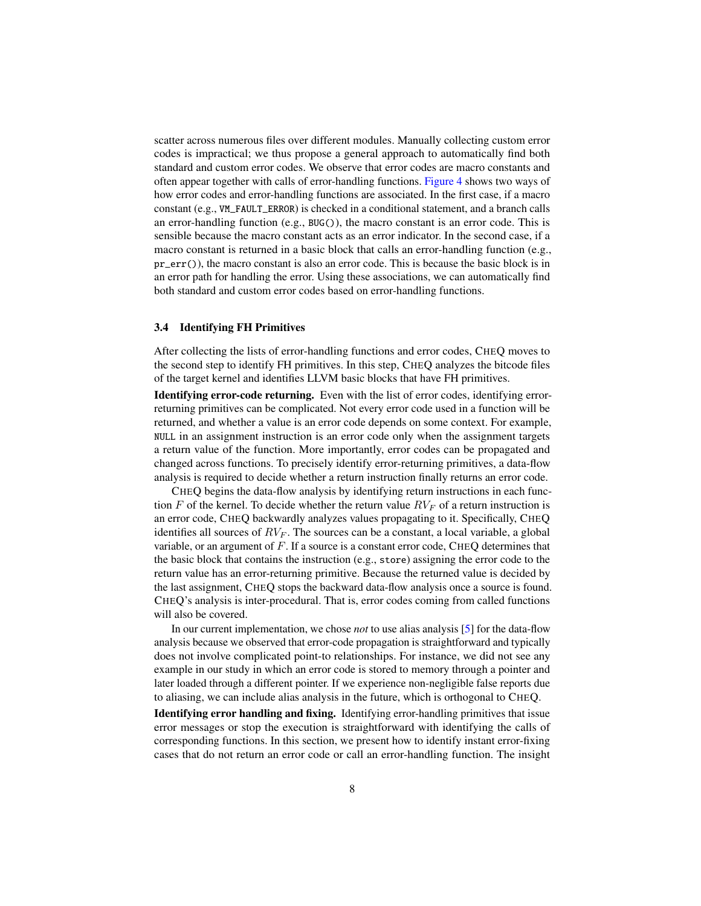scatter across numerous files over different modules. Manually collecting custom error codes is impractical; we thus propose a general approach to automatically find both standard and custom error codes. We observe that error codes are macro constants and often appear together with calls of error-handling functions. [Figure 4](#page-6-0) shows two ways of how error codes and error-handling functions are associated. In the first case, if a macro constant (e.g., VM\_FAULT\_ERROR) is checked in a conditional statement, and a branch calls an error-handling function (e.g.,  $BUG()$ ), the macro constant is an error code. This is sensible because the macro constant acts as an error indicator. In the second case, if a macro constant is returned in a basic block that calls an error-handling function (e.g., pr\_err()), the macro constant is also an error code. This is because the basic block is in an error path for handling the error. Using these associations, we can automatically find both standard and custom error codes based on error-handling functions.

# <span id="page-7-0"></span>3.4 Identifying FH Primitives

After collecting the lists of error-handling functions and error codes, CHEQ moves to the second step to identify FH primitives. In this step, CHEQ analyzes the bitcode files of the target kernel and identifies LLVM basic blocks that have FH primitives.

Identifying error-code returning. Even with the list of error codes, identifying errorreturning primitives can be complicated. Not every error code used in a function will be returned, and whether a value is an error code depends on some context. For example, NULL in an assignment instruction is an error code only when the assignment targets a return value of the function. More importantly, error codes can be propagated and changed across functions. To precisely identify error-returning primitives, a data-flow analysis is required to decide whether a return instruction finally returns an error code.

CHEQ begins the data-flow analysis by identifying return instructions in each function F of the kernel. To decide whether the return value  $RV_F$  of a return instruction is an error code, CHEQ backwardly analyzes values propagating to it. Specifically, CHEQ identifies all sources of  $RV_F$ . The sources can be a constant, a local variable, a global variable, or an argument of  $F$ . If a source is a constant error code, CHEQ determines that the basic block that contains the instruction (e.g., store) assigning the error code to the return value has an error-returning primitive. Because the returned value is decided by the last assignment, CHEQ stops the backward data-flow analysis once a source is found. CHEQ's analysis is inter-procedural. That is, error codes coming from called functions will also be covered.

In our current implementation, we chose *not* to use alias analysis [\[5\]](#page-16-10) for the data-flow analysis because we observed that error-code propagation is straightforward and typically does not involve complicated point-to relationships. For instance, we did not see any example in our study in which an error code is stored to memory through a pointer and later loaded through a different pointer. If we experience non-negligible false reports due to aliasing, we can include alias analysis in the future, which is orthogonal to CHEQ.

Identifying error handling and fixing. Identifying error-handling primitives that issue error messages or stop the execution is straightforward with identifying the calls of corresponding functions. In this section, we present how to identify instant error-fixing cases that do not return an error code or call an error-handling function. The insight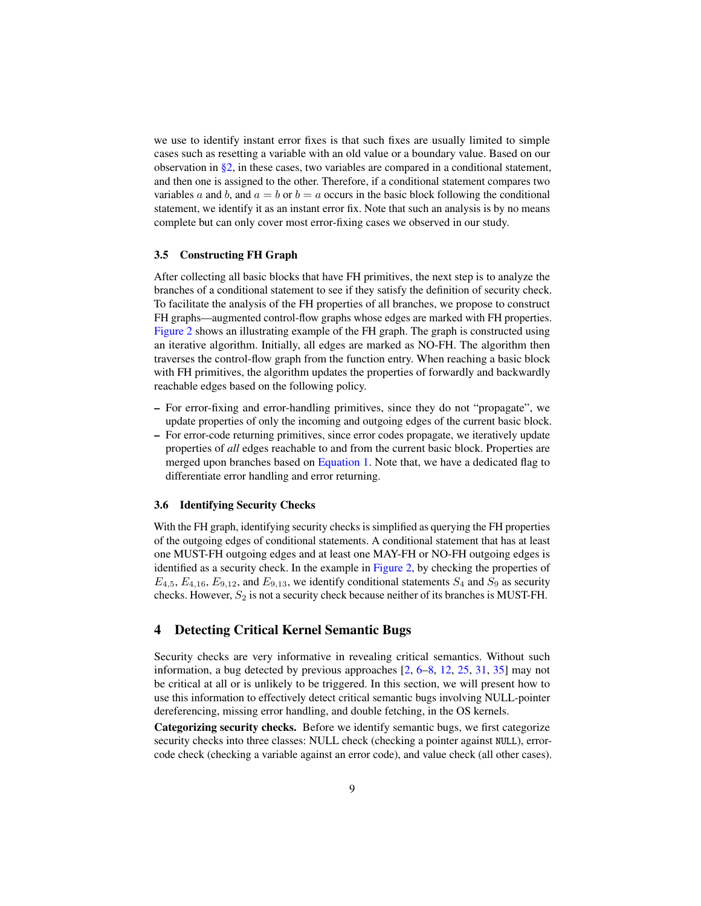we use to identify instant error fixes is that such fixes are usually limited to simple cases such as resetting a variable with an old value or a boundary value. Based on our observation in [§2,](#page-3-1) in these cases, two variables are compared in a conditional statement, and then one is assigned to the other. Therefore, if a conditional statement compares two variables a and b, and  $a = b$  or  $b = a$  occurs in the basic block following the conditional statement, we identify it as an instant error fix. Note that such an analysis is by no means complete but can only cover most error-fixing cases we observed in our study.

#### 3.5 Constructing FH Graph

After collecting all basic blocks that have FH primitives, the next step is to analyze the branches of a conditional statement to see if they satisfy the definition of security check. To facilitate the analysis of the FH properties of all branches, we propose to construct FH graphs—augmented control-flow graphs whose edges are marked with FH properties. [Figure 2](#page-5-0) shows an illustrating example of the FH graph. The graph is constructed using an iterative algorithm. Initially, all edges are marked as NO-FH. The algorithm then traverses the control-flow graph from the function entry. When reaching a basic block with FH primitives, the algorithm updates the properties of forwardly and backwardly reachable edges based on the following policy.

- For error-fixing and error-handling primitives, since they do not "propagate", we update properties of only the incoming and outgoing edges of the current basic block.
- For error-code returning primitives, since error codes propagate, we iteratively update properties of *all* edges reachable to and from the current basic block. Properties are merged upon branches based on [Equation 1.](#page-3-2) Note that, we have a dedicated flag to differentiate error handling and error returning.

#### 3.6 Identifying Security Checks

With the FH graph, identifying security checks is simplified as querying the FH properties of the outgoing edges of conditional statements. A conditional statement that has at least one MUST-FH outgoing edges and at least one MAY-FH or NO-FH outgoing edges is identified as a security check. In the example in [Figure 2,](#page-5-0) by checking the properties of  $E_{4,5}$ ,  $E_{4,16}$ ,  $E_{9,12}$ , and  $E_{9,13}$ , we identify conditional statements  $S_4$  and  $S_9$  as security checks. However,  $S_2$  is not a security check because neither of its branches is MUST-FH.

# 4 Detecting Critical Kernel Semantic Bugs

Security checks are very informative in revealing critical semantics. Without such information, a bug detected by previous approaches [\[2,](#page-16-5) [6–](#page-16-6)[8,](#page-16-7) [12,](#page-16-8) [25,](#page-17-5) [31,](#page-17-6) [35\]](#page-18-2) may not be critical at all or is unlikely to be triggered. In this section, we will present how to use this information to effectively detect critical semantic bugs involving NULL-pointer dereferencing, missing error handling, and double fetching, in the OS kernels.

Categorizing security checks. Before we identify semantic bugs, we first categorize security checks into three classes: NULL check (checking a pointer against NULL), errorcode check (checking a variable against an error code), and value check (all other cases).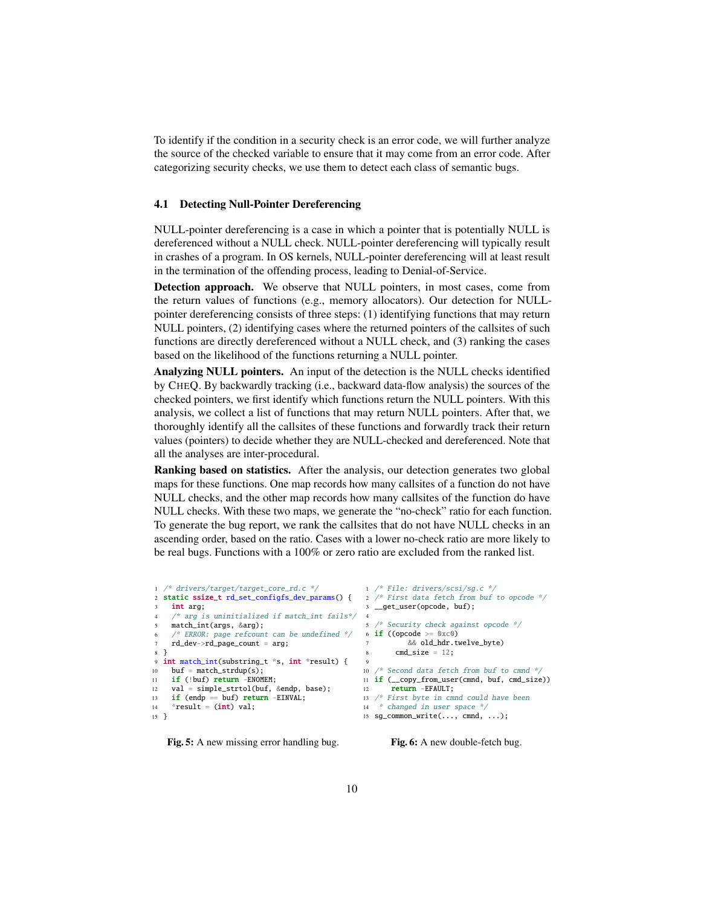To identify if the condition in a security check is an error code, we will further analyze the source of the checked variable to ensure that it may come from an error code. After categorizing security checks, we use them to detect each class of semantic bugs.

#### 4.1 Detecting Null-Pointer Dereferencing

NULL-pointer dereferencing is a case in which a pointer that is potentially NULL is dereferenced without a NULL check. NULL-pointer dereferencing will typically result in crashes of a program. In OS kernels, NULL-pointer dereferencing will at least result in the termination of the offending process, leading to Denial-of-Service.

Detection approach. We observe that NULL pointers, in most cases, come from the return values of functions (e.g., memory allocators). Our detection for NULLpointer dereferencing consists of three steps: (1) identifying functions that may return NULL pointers, (2) identifying cases where the returned pointers of the callsites of such functions are directly dereferenced without a NULL check, and (3) ranking the cases based on the likelihood of the functions returning a NULL pointer.

Analyzing NULL pointers. An input of the detection is the NULL checks identified by CHEQ. By backwardly tracking (i.e., backward data-flow analysis) the sources of the checked pointers, we first identify which functions return the NULL pointers. With this analysis, we collect a list of functions that may return NULL pointers. After that, we thoroughly identify all the callsites of these functions and forwardly track their return values (pointers) to decide whether they are NULL-checked and dereferenced. Note that all the analyses are inter-procedural.

Ranking based on statistics. After the analysis, our detection generates two global maps for these functions. One map records how many callsites of a function do not have NULL checks, and the other map records how many callsites of the function do have NULL checks. With these two maps, we generate the "no-check" ratio for each function. To generate the bug report, we rank the callsites that do not have NULL checks in an ascending order, based on the ratio. Cases with a lower no-check ratio are more likely to be real bugs. Functions with a 100% or zero ratio are excluded from the ranked list.

```
1 /* drivers/target/target_core_rd.c */
2 static ssize_t rd_set_configfs_dev_params() {
    int arg;
    /* arg is uninitialized if match_int fails*/
    5 match_int(args, &arg);
    /* ERROR: page refcount can be undefined */7 rd_dev->rd_page_count = arg;
8 }
9 int match_int(substring_t *s, int *result) {
10 buf = match_strdup(s);
11 if (!buf) return -ENOMEM;
12 val = simple_strtol(buf, &endp, base);
13 if (endp == buf) return -EINVAL;
14 *result = (int) val;
15 }
                                                  1 /* File: drivers/scsi/sg.c */
                                                  2 /* First data fetch from buf to opcode */
                                                    __get_user(opcode, buf);
                                                  4
                                                    /* Security check against opcode */6 if ((opcode >= 0xc0)
                                                            && old_hdr.twelve_byte)
                                                         cmd\_size = 12;9
                                                 10 /* Second data fetch from buf to cmnd */11 if (__copy_from_user(cmnd, buf, cmd_size))
                                                 12 return -EFAULT;
                                                 13 /* First byte in cmnd could have been
                                                 14 * changed in user space */
                                                 15 sg_common_write(..., cmnd, ...);
```
Fig. 5: A new missing error handling bug.

Fig. 6: A new double-fetch bug.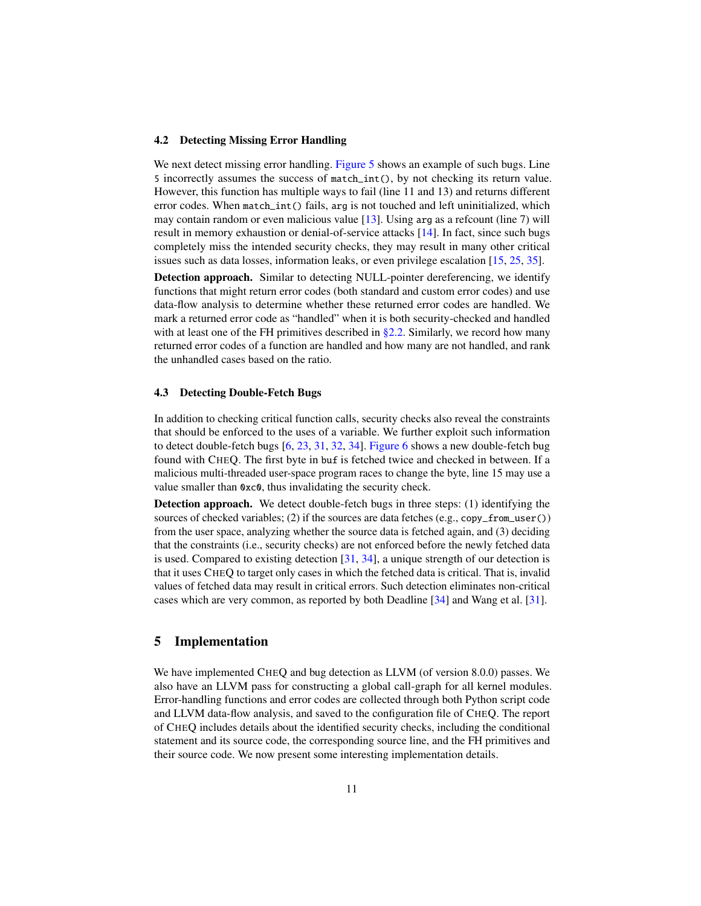#### 4.2 Detecting Missing Error Handling

We next detect missing error handling. [Figure 5](#page-9-0) shows an example of such bugs. Line 5 incorrectly assumes the success of match\_int(), by not checking its return value. However, this function has multiple ways to fail (line 11 and 13) and returns different error codes. When match\_int() fails, arg is not touched and left uninitialized, which may contain random or even malicious value [\[13\]](#page-16-11). Using arg as a refcount (line 7) will result in memory exhaustion or denial-of-service attacks [\[14\]](#page-16-12). In fact, since such bugs completely miss the intended security checks, they may result in many other critical issues such as data losses, information leaks, or even privilege escalation [\[15,](#page-16-9) [25,](#page-17-5) [35\]](#page-18-2).

Detection approach. Similar to detecting NULL-pointer dereferencing, we identify functions that might return error codes (both standard and custom error codes) and use data-flow analysis to determine whether these returned error codes are handled. We mark a returned error code as "handled" when it is both security-checked and handled with at least one of the FH primitives described in  $\S 2.2$ . Similarly, we record how many returned error codes of a function are handled and how many are not handled, and rank the unhandled cases based on the ratio.

#### 4.3 Detecting Double-Fetch Bugs

In addition to checking critical function calls, security checks also reveal the constraints that should be enforced to the uses of a variable. We further exploit such information to detect double-fetch bugs [\[6,](#page-16-6) [23,](#page-17-7) [31,](#page-17-6) [32,](#page-18-3) [34\]](#page-18-4). [Figure 6](#page-9-0) shows a new double-fetch bug found with CHEQ. The first byte in buf is fetched twice and checked in between. If a malicious multi-threaded user-space program races to change the byte, line 15 may use a value smaller than 0xc0, thus invalidating the security check.

Detection approach. We detect double-fetch bugs in three steps: (1) identifying the sources of checked variables; (2) if the sources are data fetches (e.g., copy\_from\_user()) from the user space, analyzing whether the source data is fetched again, and (3) deciding that the constraints (i.e., security checks) are not enforced before the newly fetched data is used. Compared to existing detection [\[31,](#page-17-6) [34\]](#page-18-4), a unique strength of our detection is that it uses CHEQ to target only cases in which the fetched data is critical. That is, invalid values of fetched data may result in critical errors. Such detection eliminates non-critical cases which are very common, as reported by both Deadline [\[34\]](#page-18-4) and Wang et al. [\[31\]](#page-17-6).

# 5 Implementation

We have implemented CHEQ and bug detection as LLVM (of version 8.0.0) passes. We also have an LLVM pass for constructing a global call-graph for all kernel modules. Error-handling functions and error codes are collected through both Python script code and LLVM data-flow analysis, and saved to the configuration file of CHEQ. The report of CHEQ includes details about the identified security checks, including the conditional statement and its source code, the corresponding source line, and the FH primitives and their source code. We now present some interesting implementation details.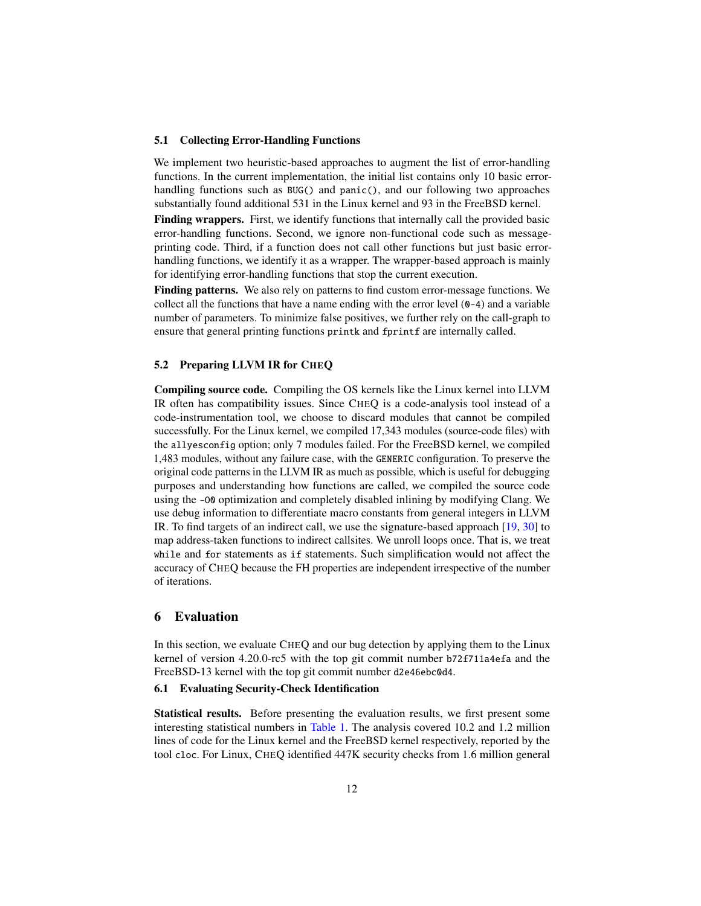#### <span id="page-11-1"></span>5.1 Collecting Error-Handling Functions

We implement two heuristic-based approaches to augment the list of error-handling functions. In the current implementation, the initial list contains only 10 basic errorhandling functions such as BUG() and panic(), and our following two approaches substantially found additional 531 in the Linux kernel and 93 in the FreeBSD kernel.

Finding wrappers. First, we identify functions that internally call the provided basic error-handling functions. Second, we ignore non-functional code such as messageprinting code. Third, if a function does not call other functions but just basic errorhandling functions, we identify it as a wrapper. The wrapper-based approach is mainly for identifying error-handling functions that stop the current execution.

Finding patterns. We also rely on patterns to find custom error-message functions. We collect all the functions that have a name ending with the error level  $(0-4)$  and a variable number of parameters. To minimize false positives, we further rely on the call-graph to ensure that general printing functions printk and fprintf are internally called.

#### 5.2 Preparing LLVM IR for CHEQ

Compiling source code. Compiling the OS kernels like the Linux kernel into LLVM IR often has compatibility issues. Since CHEQ is a code-analysis tool instead of a code-instrumentation tool, we choose to discard modules that cannot be compiled successfully. For the Linux kernel, we compiled 17,343 modules (source-code files) with the allyesconfig option; only 7 modules failed. For the FreeBSD kernel, we compiled 1,483 modules, without any failure case, with the GENERIC configuration. To preserve the original code patterns in the LLVM IR as much as possible, which is useful for debugging purposes and understanding how functions are called, we compiled the source code using the -O0 optimization and completely disabled inlining by modifying Clang. We use debug information to differentiate macro constants from general integers in LLVM IR. To find targets of an indirect call, we use the signature-based approach [\[19,](#page-17-8) [30\]](#page-17-9) to map address-taken functions to indirect callsites. We unroll loops once. That is, we treat while and for statements as if statements. Such simplification would not affect the accuracy of CHEQ because the FH properties are independent irrespective of the number of iterations.

# 6 Evaluation

In this section, we evaluate CHEQ and our bug detection by applying them to the Linux kernel of version 4.20.0-rc5 with the top git commit number b72f711a4efa and the FreeBSD-13 kernel with the top git commit number d2e46ebc0d4.

### <span id="page-11-0"></span>6.1 Evaluating Security-Check Identification

Statistical results. Before presenting the evaluation results, we first present some interesting statistical numbers in [Table 1.](#page-12-0) The analysis covered 10.2 and 1.2 million lines of code for the Linux kernel and the FreeBSD kernel respectively, reported by the tool cloc. For Linux, CHEQ identified 447K security checks from 1.6 million general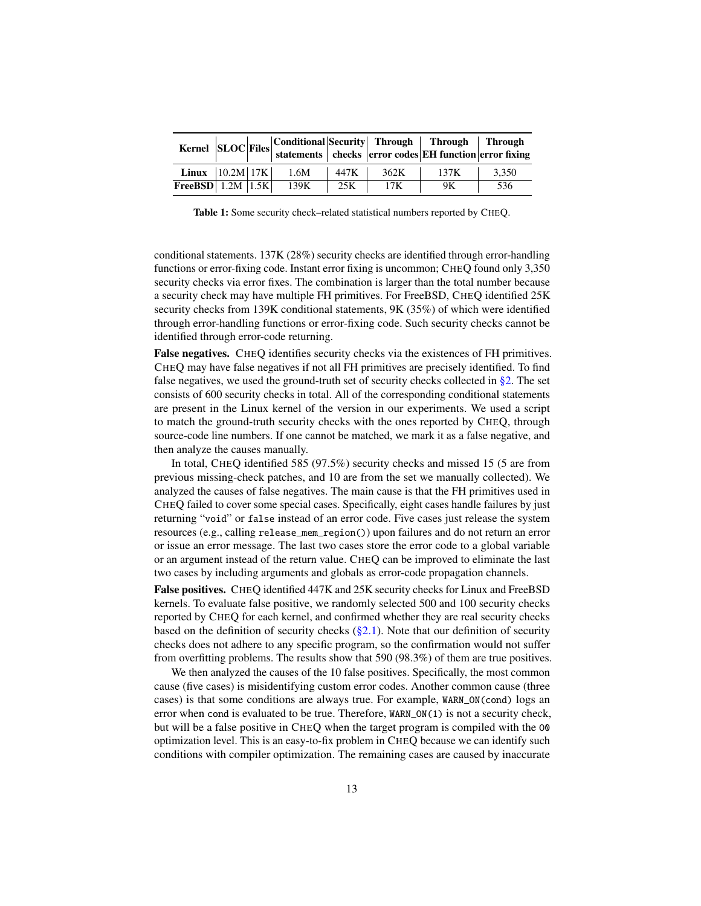<span id="page-12-0"></span>

|  |                                   |      |       | Kernel SLOC Files Conditional Security Through Through Through<br>statements elects error codes EH function error fixing |       |
|--|-----------------------------------|------|-------|--------------------------------------------------------------------------------------------------------------------------|-------|
|  | <b>Linux</b>   10.2M   17K   1.6M | 447K | 362K  | 137K                                                                                                                     | 3.350 |
|  | <b>FreeBSD</b> 1.2M 1.5K 139K     | 25K  | - 17K | 9Κ                                                                                                                       | 536   |

Table 1: Some security check–related statistical numbers reported by CHEQ.

conditional statements. 137K (28%) security checks are identified through error-handling functions or error-fixing code. Instant error fixing is uncommon; CHEQ found only 3,350 security checks via error fixes. The combination is larger than the total number because a security check may have multiple FH primitives. For FreeBSD, CHEQ identified 25K security checks from 139K conditional statements, 9K (35%) of which were identified through error-handling functions or error-fixing code. Such security checks cannot be identified through error-code returning.

False negatives. CHEQ identifies security checks via the existences of FH primitives. CHEQ may have false negatives if not all FH primitives are precisely identified. To find false negatives, we used the ground-truth set of security checks collected in [§2.](#page-3-1) The set consists of 600 security checks in total. All of the corresponding conditional statements are present in the Linux kernel of the version in our experiments. We used a script to match the ground-truth security checks with the ones reported by CHEQ, through source-code line numbers. If one cannot be matched, we mark it as a false negative, and then analyze the causes manually.

In total, CHEQ identified 585 (97.5%) security checks and missed 15 (5 are from previous missing-check patches, and 10 are from the set we manually collected). We analyzed the causes of false negatives. The main cause is that the FH primitives used in CHEQ failed to cover some special cases. Specifically, eight cases handle failures by just returning "void" or false instead of an error code. Five cases just release the system resources (e.g., calling release\_mem\_region()) upon failures and do not return an error or issue an error message. The last two cases store the error code to a global variable or an argument instead of the return value. CHEQ can be improved to eliminate the last two cases by including arguments and globals as error-code propagation channels.

False positives. CHEQ identified 447K and 25K security checks for Linux and FreeBSD kernels. To evaluate false positive, we randomly selected 500 and 100 security checks reported by CHEQ for each kernel, and confirmed whether they are real security checks based on the definition of security checks  $(\S$ 2.1). Note that our definition of security checks does not adhere to any specific program, so the confirmation would not suffer from overfitting problems. The results show that 590 (98.3%) of them are true positives.

We then analyzed the causes of the 10 false positives. Specifically, the most common cause (five cases) is misidentifying custom error codes. Another common cause (three cases) is that some conditions are always true. For example, WARN\_ON(cond) logs an error when cond is evaluated to be true. Therefore, WARN\_ON(1) is not a security check, but will be a false positive in CHEQ when the target program is compiled with the O0 optimization level. This is an easy-to-fix problem in CHEQ because we can identify such conditions with compiler optimization. The remaining cases are caused by inaccurate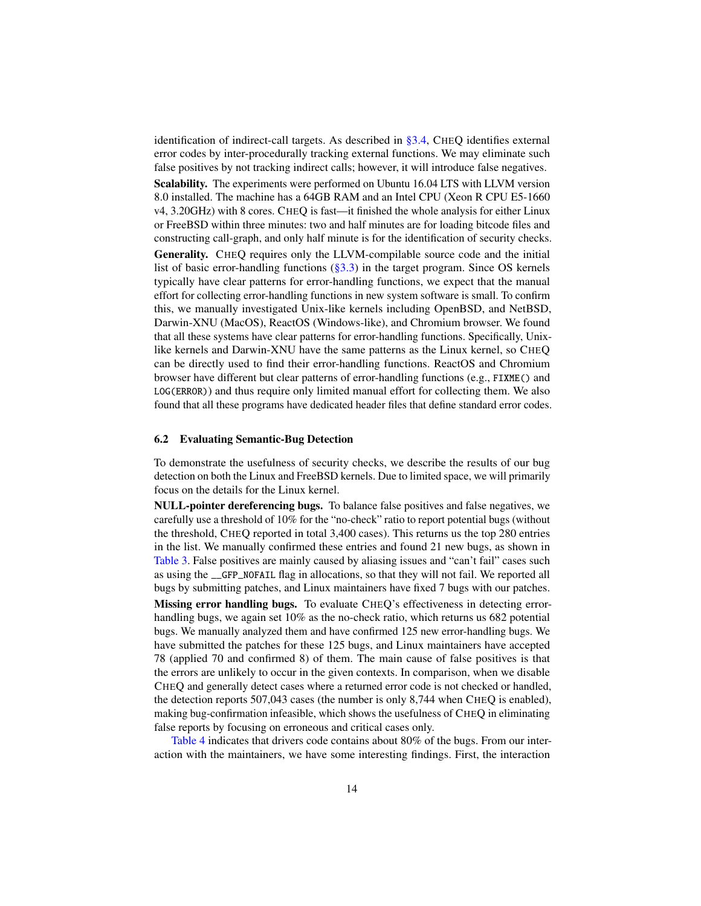identification of indirect-call targets. As described in [§3.4,](#page-7-0) CHEQ identifies external error codes by inter-procedurally tracking external functions. We may eliminate such false positives by not tracking indirect calls; however, it will introduce false negatives.

Scalability. The experiments were performed on Ubuntu 16.04 LTS with LLVM version 8.0 installed. The machine has a 64GB RAM and an Intel CPU (Xeon R CPU E5-1660 v4, 3.20GHz) with 8 cores. CHEQ is fast—it finished the whole analysis for either Linux or FreeBSD within three minutes: two and half minutes are for loading bitcode files and constructing call-graph, and only half minute is for the identification of security checks.

Generality. CHEQ requires only the LLVM-compilable source code and the initial list of basic error-handling functions  $(\S 3.3)$  in the target program. Since OS kernels typically have clear patterns for error-handling functions, we expect that the manual effort for collecting error-handling functions in new system software is small. To confirm this, we manually investigated Unix-like kernels including OpenBSD, and NetBSD, Darwin-XNU (MacOS), ReactOS (Windows-like), and Chromium browser. We found that all these systems have clear patterns for error-handling functions. Specifically, Unixlike kernels and Darwin-XNU have the same patterns as the Linux kernel, so CHEQ can be directly used to find their error-handling functions. ReactOS and Chromium browser have different but clear patterns of error-handling functions (e.g., FIXME() and LOG(ERROR)) and thus require only limited manual effort for collecting them. We also found that all these programs have dedicated header files that define standard error codes.

#### <span id="page-13-0"></span>6.2 Evaluating Semantic-Bug Detection

To demonstrate the usefulness of security checks, we describe the results of our bug detection on both the Linux and FreeBSD kernels. Due to limited space, we will primarily focus on the details for the Linux kernel.

NULL-pointer dereferencing bugs. To balance false positives and false negatives, we carefully use a threshold of 10% for the "no-check" ratio to report potential bugs (without the threshold, CHEQ reported in total 3,400 cases). This returns us the top 280 entries in the list. We manually confirmed these entries and found 21 new bugs, as shown in [Table 3.](#page-18-5) False positives are mainly caused by aliasing issues and "can't fail" cases such as using the \_\_GFP\_NOFAIL flag in allocations, so that they will not fail. We reported all bugs by submitting patches, and Linux maintainers have fixed 7 bugs with our patches. Missing error handling bugs. To evaluate CHEQ's effectiveness in detecting errorhandling bugs, we again set 10% as the no-check ratio, which returns us 682 potential bugs. We manually analyzed them and have confirmed 125 new error-handling bugs. We have submitted the patches for these 125 bugs, and Linux maintainers have accepted 78 (applied 70 and confirmed 8) of them. The main cause of false positives is that the errors are unlikely to occur in the given contexts. In comparison, when we disable CHEQ and generally detect cases where a returned error code is not checked or handled, the detection reports 507,043 cases (the number is only 8,744 when CHEQ is enabled), making bug-confirmation infeasible, which shows the usefulness of CHEQ in eliminating false reports by focusing on erroneous and critical cases only.

[Table 4](#page-19-0) indicates that drivers code contains about 80% of the bugs. From our interaction with the maintainers, we have some interesting findings. First, the interaction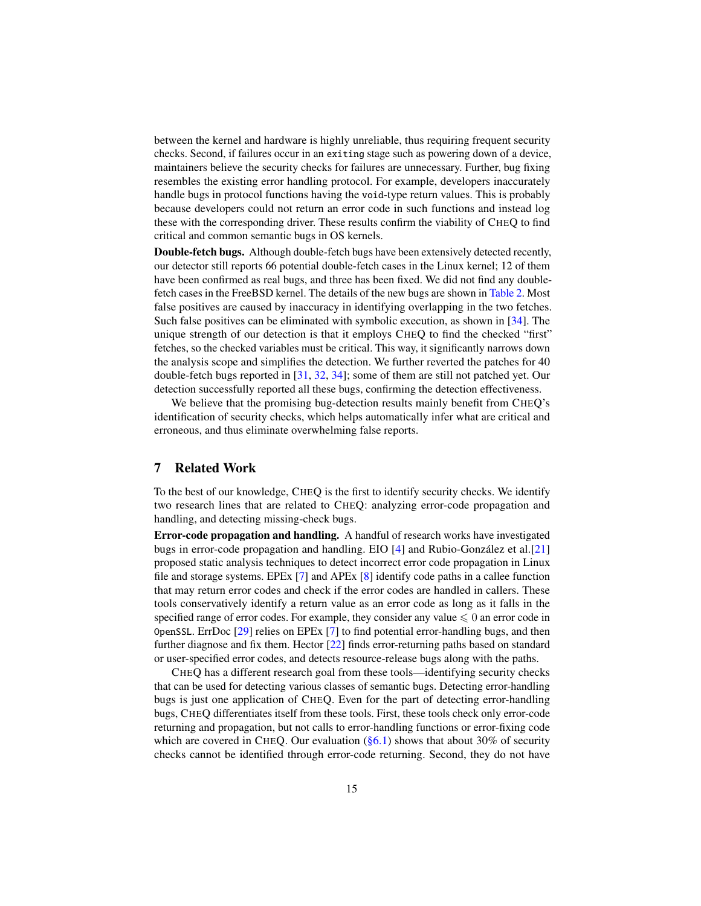between the kernel and hardware is highly unreliable, thus requiring frequent security checks. Second, if failures occur in an exiting stage such as powering down of a device, maintainers believe the security checks for failures are unnecessary. Further, bug fixing resembles the existing error handling protocol. For example, developers inaccurately handle bugs in protocol functions having the void-type return values. This is probably because developers could not return an error code in such functions and instead log these with the corresponding driver. These results confirm the viability of CHEQ to find critical and common semantic bugs in OS kernels.

Double-fetch bugs. Although double-fetch bugs have been extensively detected recently, our detector still reports 66 potential double-fetch cases in the Linux kernel; 12 of them have been confirmed as real bugs, and three has been fixed. We did not find any doublefetch cases in the FreeBSD kernel. The details of the new bugs are shown in [Table 2.](#page-18-6) Most false positives are caused by inaccuracy in identifying overlapping in the two fetches. Such false positives can be eliminated with symbolic execution, as shown in [\[34\]](#page-18-4). The unique strength of our detection is that it employs CHEQ to find the checked "first" fetches, so the checked variables must be critical. This way, it significantly narrows down the analysis scope and simplifies the detection. We further reverted the patches for 40 double-fetch bugs reported in [\[31,](#page-17-6) [32,](#page-18-3) [34\]](#page-18-4); some of them are still not patched yet. Our detection successfully reported all these bugs, confirming the detection effectiveness.

We believe that the promising bug-detection results mainly benefit from CHEQ's identification of security checks, which helps automatically infer what are critical and erroneous, and thus eliminate overwhelming false reports.

### 7 Related Work

To the best of our knowledge, CHEQ is the first to identify security checks. We identify two research lines that are related to CHEQ: analyzing error-code propagation and handling, and detecting missing-check bugs.

Error-code propagation and handling. A handful of research works have investigated bugs in error-code propagation and handling. EIO [\[4\]](#page-16-13) and Rubio-González et al.[\[21\]](#page-17-10) proposed static analysis techniques to detect incorrect error code propagation in Linux file and storage systems. EPEx [\[7\]](#page-16-14) and APEx [\[8\]](#page-16-7) identify code paths in a callee function that may return error codes and check if the error codes are handled in callers. These tools conservatively identify a return value as an error code as long as it falls in the specified range of error codes. For example, they consider any value  $\leq 0$  an error code in OpenSSL. ErrDoc [\[29\]](#page-17-11) relies on EPEx [\[7\]](#page-16-14) to find potential error-handling bugs, and then further diagnose and fix them. Hector [\[22\]](#page-17-12) finds error-returning paths based on standard or user-specified error codes, and detects resource-release bugs along with the paths.

CHEQ has a different research goal from these tools—identifying security checks that can be used for detecting various classes of semantic bugs. Detecting error-handling bugs is just one application of CHEQ. Even for the part of detecting error-handling bugs, CHEQ differentiates itself from these tools. First, these tools check only error-code returning and propagation, but not calls to error-handling functions or error-fixing code which are covered in CHEQ. Our evaluation  $(\S 6.1)$  shows that about 30% of security checks cannot be identified through error-code returning. Second, they do not have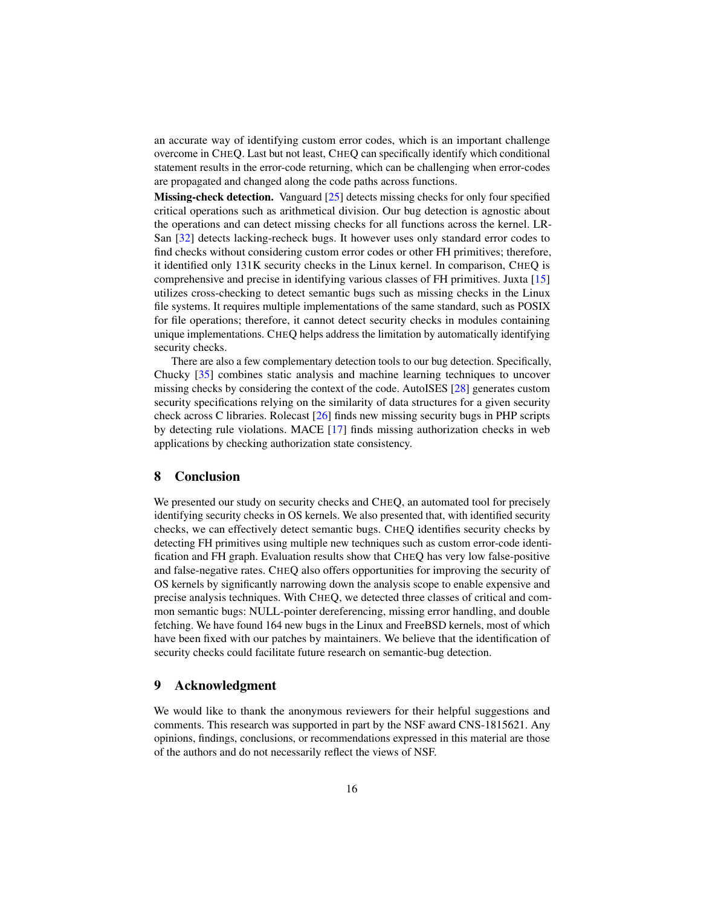an accurate way of identifying custom error codes, which is an important challenge overcome in CHEQ. Last but not least, CHEQ can specifically identify which conditional statement results in the error-code returning, which can be challenging when error-codes are propagated and changed along the code paths across functions.

Missing-check detection. Vanguard [\[25\]](#page-17-5) detects missing checks for only four specified critical operations such as arithmetical division. Our bug detection is agnostic about the operations and can detect missing checks for all functions across the kernel. LR-San [\[32\]](#page-18-3) detects lacking-recheck bugs. It however uses only standard error codes to find checks without considering custom error codes or other FH primitives; therefore, it identified only 131K security checks in the Linux kernel. In comparison, CHEQ is comprehensive and precise in identifying various classes of FH primitives. Juxta [\[15\]](#page-16-9) utilizes cross-checking to detect semantic bugs such as missing checks in the Linux file systems. It requires multiple implementations of the same standard, such as POSIX for file operations; therefore, it cannot detect security checks in modules containing unique implementations. CHEQ helps address the limitation by automatically identifying security checks.

There are also a few complementary detection tools to our bug detection. Specifically, Chucky [\[35\]](#page-18-2) combines static analysis and machine learning techniques to uncover missing checks by considering the context of the code. AutoISES [\[28\]](#page-17-13) generates custom security specifications relying on the similarity of data structures for a given security check across C libraries. Rolecast [\[26\]](#page-17-14) finds new missing security bugs in PHP scripts by detecting rule violations. MACE [\[17\]](#page-17-15) finds missing authorization checks in web applications by checking authorization state consistency.

### 8 Conclusion

We presented our study on security checks and CHEQ, an automated tool for precisely identifying security checks in OS kernels. We also presented that, with identified security checks, we can effectively detect semantic bugs. CHEQ identifies security checks by detecting FH primitives using multiple new techniques such as custom error-code identification and FH graph. Evaluation results show that CHEQ has very low false-positive and false-negative rates. CHEQ also offers opportunities for improving the security of OS kernels by significantly narrowing down the analysis scope to enable expensive and precise analysis techniques. With CHEQ, we detected three classes of critical and common semantic bugs: NULL-pointer dereferencing, missing error handling, and double fetching. We have found 164 new bugs in the Linux and FreeBSD kernels, most of which have been fixed with our patches by maintainers. We believe that the identification of security checks could facilitate future research on semantic-bug detection.

# 9 Acknowledgment

We would like to thank the anonymous reviewers for their helpful suggestions and comments. This research was supported in part by the NSF award CNS-1815621. Any opinions, findings, conclusions, or recommendations expressed in this material are those of the authors and do not necessarily reflect the views of NSF.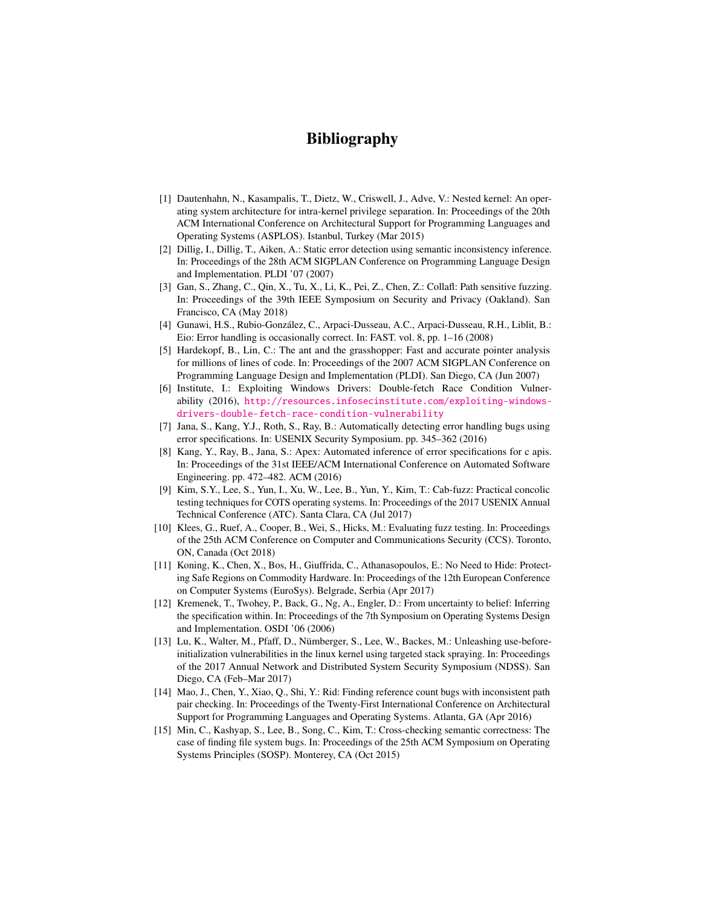# Bibliography

- <span id="page-16-3"></span>[1] Dautenhahn, N., Kasampalis, T., Dietz, W., Criswell, J., Adve, V.: Nested kernel: An operating system architecture for intra-kernel privilege separation. In: Proceedings of the 20th ACM International Conference on Architectural Support for Programming Languages and Operating Systems (ASPLOS). Istanbul, Turkey (Mar 2015)
- <span id="page-16-5"></span>[2] Dillig, I., Dillig, T., Aiken, A.: Static error detection using semantic inconsistency inference. In: Proceedings of the 28th ACM SIGPLAN Conference on Programming Language Design and Implementation. PLDI '07 (2007)
- <span id="page-16-1"></span>[3] Gan, S., Zhang, C., Qin, X., Tu, X., Li, K., Pei, Z., Chen, Z.: Collafl: Path sensitive fuzzing. In: Proceedings of the 39th IEEE Symposium on Security and Privacy (Oakland). San Francisco, CA (May 2018)
- <span id="page-16-13"></span>[4] Gunawi, H.S., Rubio-González, C., Arpaci-Dusseau, A.C., Arpaci-Dusseau, R.H., Liblit, B.: Eio: Error handling is occasionally correct. In: FAST. vol. 8, pp. 1–16 (2008)
- <span id="page-16-10"></span>[5] Hardekopf, B., Lin, C.: The ant and the grasshopper: Fast and accurate pointer analysis for millions of lines of code. In: Proceedings of the 2007 ACM SIGPLAN Conference on Programming Language Design and Implementation (PLDI). San Diego, CA (Jun 2007)
- <span id="page-16-6"></span>[6] Institute, I.: Exploiting Windows Drivers: Double-fetch Race Condition Vulnerability (2016), [http://resources.infosecinstitute.com/exploiting-windows](http://resources.infosecinstitute.com/exploiting-windows-drivers-double-fetch-race-condition-vulnerability)[drivers-double-fetch-race-condition-vulnerability](http://resources.infosecinstitute.com/exploiting-windows-drivers-double-fetch-race-condition-vulnerability)
- <span id="page-16-14"></span>[7] Jana, S., Kang, Y.J., Roth, S., Ray, B.: Automatically detecting error handling bugs using error specifications. In: USENIX Security Symposium. pp. 345–362 (2016)
- <span id="page-16-7"></span>[8] Kang, Y., Ray, B., Jana, S.: Apex: Automated inference of error specifications for c apis. In: Proceedings of the 31st IEEE/ACM International Conference on Automated Software Engineering. pp. 472–482. ACM (2016)
- <span id="page-16-2"></span>[9] Kim, S.Y., Lee, S., Yun, I., Xu, W., Lee, B., Yun, Y., Kim, T.: Cab-fuzz: Practical concolic testing techniques for COTS operating systems. In: Proceedings of the 2017 USENIX Annual Technical Conference (ATC). Santa Clara, CA (Jul 2017)
- <span id="page-16-0"></span>[10] Klees, G., Ruef, A., Cooper, B., Wei, S., Hicks, M.: Evaluating fuzz testing. In: Proceedings of the 25th ACM Conference on Computer and Communications Security (CCS). Toronto, ON, Canada (Oct 2018)
- <span id="page-16-4"></span>[11] Koning, K., Chen, X., Bos, H., Giuffrida, C., Athanasopoulos, E.: No Need to Hide: Protecting Safe Regions on Commodity Hardware. In: Proceedings of the 12th European Conference on Computer Systems (EuroSys). Belgrade, Serbia (Apr 2017)
- <span id="page-16-8"></span>[12] Kremenek, T., Twohey, P., Back, G., Ng, A., Engler, D.: From uncertainty to belief: Inferring the specification within. In: Proceedings of the 7th Symposium on Operating Systems Design and Implementation. OSDI '06 (2006)
- <span id="page-16-11"></span>[13] Lu, K., Walter, M., Pfaff, D., Nümberger, S., Lee, W., Backes, M.: Unleashing use-beforeinitialization vulnerabilities in the linux kernel using targeted stack spraying. In: Proceedings of the 2017 Annual Network and Distributed System Security Symposium (NDSS). San Diego, CA (Feb–Mar 2017)
- <span id="page-16-12"></span>[14] Mao, J., Chen, Y., Xiao, Q., Shi, Y.: Rid: Finding reference count bugs with inconsistent path pair checking. In: Proceedings of the Twenty-First International Conference on Architectural Support for Programming Languages and Operating Systems. Atlanta, GA (Apr 2016)
- <span id="page-16-9"></span>[15] Min, C., Kashyap, S., Lee, B., Song, C., Kim, T.: Cross-checking semantic correctness: The case of finding file system bugs. In: Proceedings of the 25th ACM Symposium on Operating Systems Principles (SOSP). Monterey, CA (Oct 2015)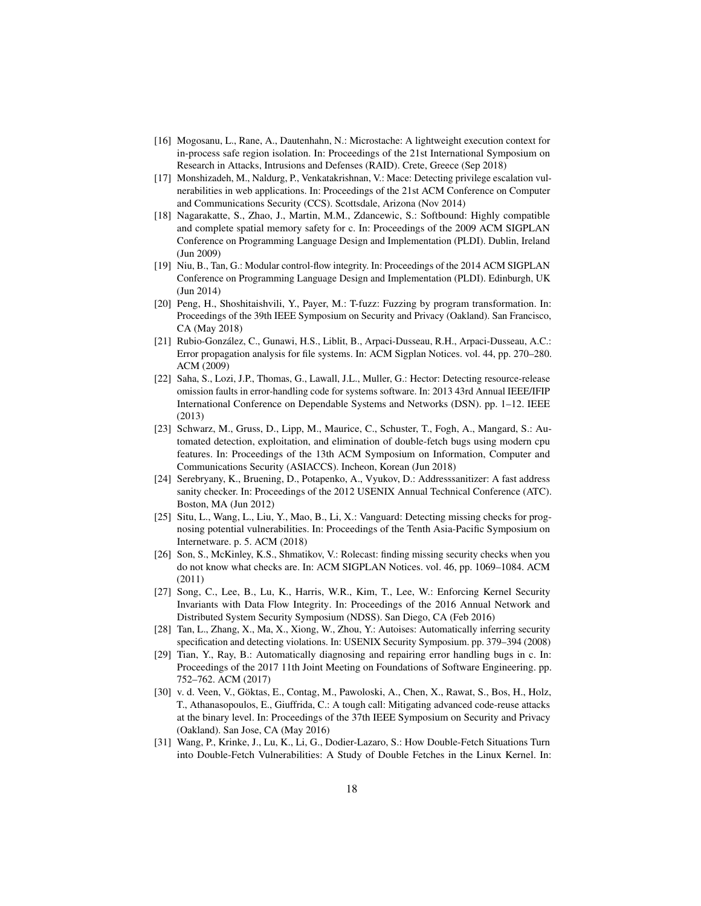- <span id="page-17-3"></span>[16] Mogosanu, L., Rane, A., Dautenhahn, N.: Microstache: A lightweight execution context for in-process safe region isolation. In: Proceedings of the 21st International Symposium on Research in Attacks, Intrusions and Defenses (RAID). Crete, Greece (Sep 2018)
- <span id="page-17-15"></span>[17] Monshizadeh, M., Naldurg, P., Venkatakrishnan, V.: Mace: Detecting privilege escalation vulnerabilities in web applications. In: Proceedings of the 21st ACM Conference on Computer and Communications Security (CCS). Scottsdale, Arizona (Nov 2014)
- <span id="page-17-1"></span>[18] Nagarakatte, S., Zhao, J., Martin, M.M., Zdancewic, S.: Softbound: Highly compatible and complete spatial memory safety for c. In: Proceedings of the 2009 ACM SIGPLAN Conference on Programming Language Design and Implementation (PLDI). Dublin, Ireland (Jun 2009)
- <span id="page-17-8"></span>[19] Niu, B., Tan, G.: Modular control-flow integrity. In: Proceedings of the 2014 ACM SIGPLAN Conference on Programming Language Design and Implementation (PLDI). Edinburgh, UK (Jun 2014)
- <span id="page-17-0"></span>[20] Peng, H., Shoshitaishvili, Y., Payer, M.: T-fuzz: Fuzzing by program transformation. In: Proceedings of the 39th IEEE Symposium on Security and Privacy (Oakland). San Francisco, CA (May 2018)
- <span id="page-17-10"></span>[21] Rubio-González, C., Gunawi, H.S., Liblit, B., Arpaci-Dusseau, R.H., Arpaci-Dusseau, A.C.: Error propagation analysis for file systems. In: ACM Sigplan Notices. vol. 44, pp. 270–280. ACM (2009)
- <span id="page-17-12"></span>[22] Saha, S., Lozi, J.P., Thomas, G., Lawall, J.L., Muller, G.: Hector: Detecting resource-release omission faults in error-handling code for systems software. In: 2013 43rd Annual IEEE/IFIP International Conference on Dependable Systems and Networks (DSN). pp. 1–12. IEEE (2013)
- <span id="page-17-7"></span>[23] Schwarz, M., Gruss, D., Lipp, M., Maurice, C., Schuster, T., Fogh, A., Mangard, S.: Automated detection, exploitation, and elimination of double-fetch bugs using modern cpu features. In: Proceedings of the 13th ACM Symposium on Information, Computer and Communications Security (ASIACCS). Incheon, Korean (Jun 2018)
- <span id="page-17-2"></span>[24] Serebryany, K., Bruening, D., Potapenko, A., Vyukov, D.: Addresssanitizer: A fast address sanity checker. In: Proceedings of the 2012 USENIX Annual Technical Conference (ATC). Boston, MA (Jun 2012)
- <span id="page-17-5"></span>[25] Situ, L., Wang, L., Liu, Y., Mao, B., Li, X.: Vanguard: Detecting missing checks for prognosing potential vulnerabilities. In: Proceedings of the Tenth Asia-Pacific Symposium on Internetware. p. 5. ACM (2018)
- <span id="page-17-14"></span>[26] Son, S., McKinley, K.S., Shmatikov, V.: Rolecast: finding missing security checks when you do not know what checks are. In: ACM SIGPLAN Notices. vol. 46, pp. 1069–1084. ACM (2011)
- <span id="page-17-4"></span>[27] Song, C., Lee, B., Lu, K., Harris, W.R., Kim, T., Lee, W.: Enforcing Kernel Security Invariants with Data Flow Integrity. In: Proceedings of the 2016 Annual Network and Distributed System Security Symposium (NDSS). San Diego, CA (Feb 2016)
- <span id="page-17-13"></span>[28] Tan, L., Zhang, X., Ma, X., Xiong, W., Zhou, Y.: Autoises: Automatically inferring security specification and detecting violations. In: USENIX Security Symposium. pp. 379–394 (2008)
- <span id="page-17-11"></span>[29] Tian, Y., Ray, B.: Automatically diagnosing and repairing error handling bugs in c. In: Proceedings of the 2017 11th Joint Meeting on Foundations of Software Engineering. pp. 752–762. ACM (2017)
- <span id="page-17-9"></span>[30] v. d. Veen, V., Göktas, E., Contag, M., Pawoloski, A., Chen, X., Rawat, S., Bos, H., Holz, T., Athanasopoulos, E., Giuffrida, C.: A tough call: Mitigating advanced code-reuse attacks at the binary level. In: Proceedings of the 37th IEEE Symposium on Security and Privacy (Oakland). San Jose, CA (May 2016)
- <span id="page-17-6"></span>[31] Wang, P., Krinke, J., Lu, K., Li, G., Dodier-Lazaro, S.: How Double-Fetch Situations Turn into Double-Fetch Vulnerabilities: A Study of Double Fetches in the Linux Kernel. In: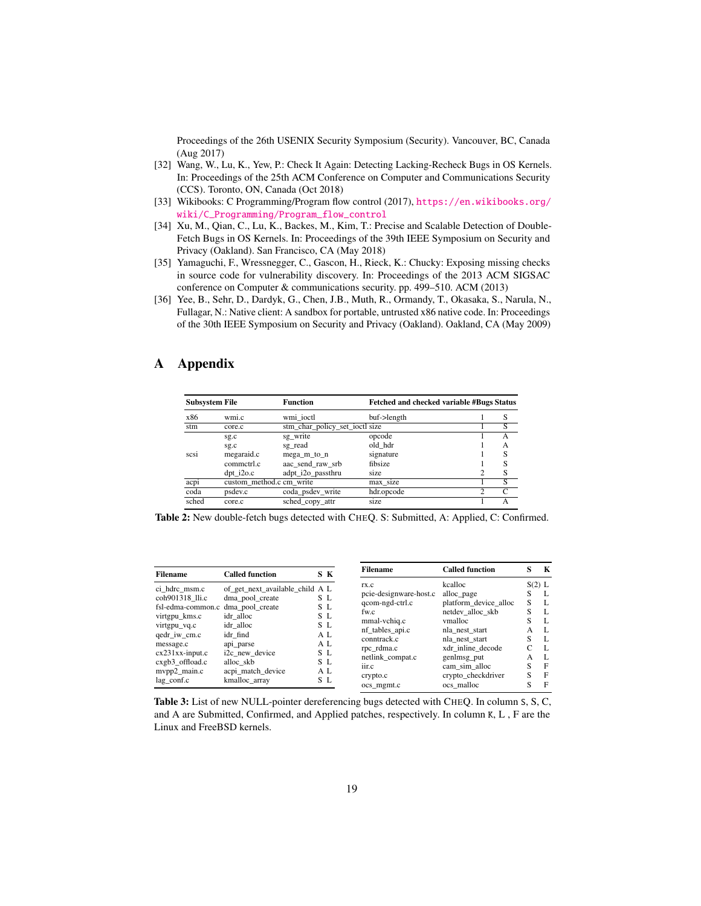Proceedings of the 26th USENIX Security Symposium (Security). Vancouver, BC, Canada (Aug 2017)

- <span id="page-18-3"></span>[32] Wang, W., Lu, K., Yew, P.: Check It Again: Detecting Lacking-Recheck Bugs in OS Kernels. In: Proceedings of the 25th ACM Conference on Computer and Communications Security (CCS). Toronto, ON, Canada (Oct 2018)
- <span id="page-18-0"></span>[33] Wikibooks: C Programming/Program flow control (2017), [https://en.wikibooks.org/](https://en.wikibooks.org/wiki/C_Programming/Program_flow_control) [wiki/C\\_Programming/Program\\_flow\\_control](https://en.wikibooks.org/wiki/C_Programming/Program_flow_control)
- <span id="page-18-4"></span>[34] Xu, M., Qian, C., Lu, K., Backes, M., Kim, T.: Precise and Scalable Detection of Double-Fetch Bugs in OS Kernels. In: Proceedings of the 39th IEEE Symposium on Security and Privacy (Oakland). San Francisco, CA (May 2018)
- <span id="page-18-2"></span>[35] Yamaguchi, F., Wressnegger, C., Gascon, H., Rieck, K.: Chucky: Exposing missing checks in source code for vulnerability discovery. In: Proceedings of the 2013 ACM SIGSAC conference on Computer & communications security. pp. 499–510. ACM (2013)
- <span id="page-18-1"></span>[36] Yee, B., Sehr, D., Dardyk, G., Chen, J.B., Muth, R., Ormandy, T., Okasaka, S., Narula, N., Fullagar, N.: Native client: A sandbox for portable, untrusted x86 native code. In: Proceedings of the 30th IEEE Symposium on Security and Privacy (Oakland). Oakland, CA (May 2009)

# A Appendix

<span id="page-18-6"></span>

| <b>Subsystem File</b> |                          | <b>Function</b>                | <b>Fetched and checked variable #Bugs Status</b> |   |              |
|-----------------------|--------------------------|--------------------------------|--------------------------------------------------|---|--------------|
| x86                   | wmi.c                    | wmi ioctl                      | buf->length                                      |   | S            |
| stm                   | core.c                   | stm_char_policy_set_ioctl size |                                                  |   | S            |
| scsi                  | sg.c                     | sg write                       | opcode                                           |   | А            |
|                       | sg.c                     | sg read                        | old hdr                                          |   | A            |
|                       | megaraid.c               | mega m to n                    | signature                                        |   | S            |
|                       | commetr1.c               | aac send raw srb               | fibsize                                          |   | S            |
|                       | $dpt$ i2o.c              | adpt_i2o_passthru              | size                                             | 2 | S            |
| acpi                  | custom method.c cm write |                                | max size                                         |   | S            |
| coda                  | psdev.c                  | coda psdev write               | hdr.opcode                                       | າ | $\mathsf{C}$ |
| sched                 | core.c                   | sched copy attr                | size                                             |   |              |

Table 2: New double-fetch bugs detected with CHEQ. S: Submitted, A: Applied, C: Confirmed.

<span id="page-18-5"></span>

Table 3: List of new NULL-pointer dereferencing bugs detected with CHEQ. In column S, S, C, and A are Submitted, Confirmed, and Applied patches, respectively. In column K, L , F are the Linux and FreeBSD kernels.